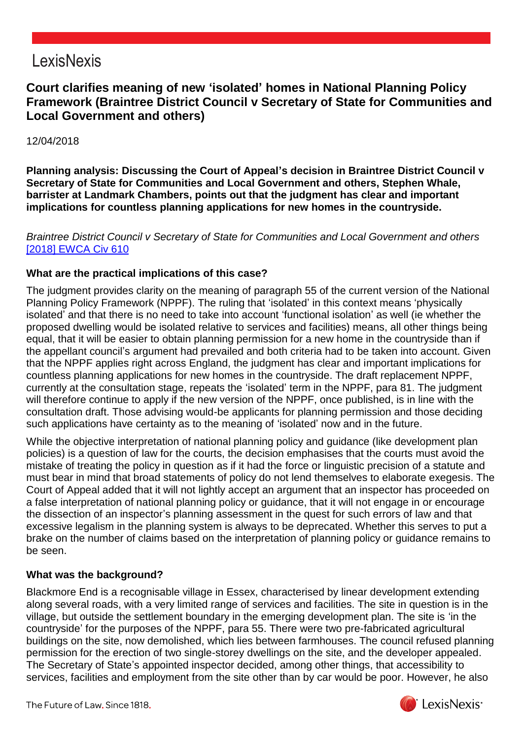## LexisNexis

### **Court clarifies meaning of new 'isolated' homes in National Planning Policy Framework (Braintree District Council v Secretary of State for Communities and Local Government and others)**

#### 12/04/2018

**Planning analysis: Discussing the Court of Appeal's decision in Braintree District Council v Secretary of State for Communities and Local Government and others, Stephen Whale, barrister at Landmark Chambers, points out that the judgment has clear and important implications for countless planning applications for new homes in the countryside.**

#### *Braintree District Council v Secretary of State for Communities and Local Government and others* [\[2018\] EWCA Civ 610](https://www.lexisnexis.com/uk/lexispsl/localgovernment/citationlinkHandler.faces?bct=A&service=citation&risb=&EWCACIV&$sel1!%252018%25$year!%252018%25$page!%25610%25)

#### **What are the practical implications of this case?**

The judgment provides clarity on the meaning of paragraph 55 of the current version of the National Planning Policy Framework (NPPF). The ruling that 'isolated' in this context means 'physically isolated' and that there is no need to take into account 'functional isolation' as well (ie whether the proposed dwelling would be isolated relative to services and facilities) means, all other things being equal, that it will be easier to obtain planning permission for a new home in the countryside than if the appellant council's argument had prevailed and both criteria had to be taken into account. Given that the NPPF applies right across England, the judgment has clear and important implications for countless planning applications for new homes in the countryside. The draft replacement NPPF, currently at the consultation stage, repeats the 'isolated' term in the NPPF, para 81. The judgment will therefore continue to apply if the new version of the NPPF, once published, is in line with the consultation draft. Those advising would-be applicants for planning permission and those deciding such applications have certainty as to the meaning of 'isolated' now and in the future.

While the objective interpretation of national planning policy and guidance (like development plan policies) is a question of law for the courts, the decision emphasises that the courts must avoid the mistake of treating the policy in question as if it had the force or linguistic precision of a statute and must bear in mind that broad statements of policy do not lend themselves to elaborate exegesis. The Court of Appeal added that it will not lightly accept an argument that an inspector has proceeded on a false interpretation of national planning policy or guidance, that it will not engage in or encourage the dissection of an inspector's planning assessment in the quest for such errors of law and that excessive legalism in the planning system is always to be deprecated. Whether this serves to put a brake on the number of claims based on the interpretation of planning policy or guidance remains to be seen.

#### **What was the background?**

Blackmore End is a recognisable village in Essex, characterised by linear development extending along several roads, with a very limited range of services and facilities. The site in question is in the village, but outside the settlement boundary in the emerging development plan. The site is 'in the countryside' for the purposes of the NPPF, para 55. There were two pre-fabricated agricultural buildings on the site, now demolished, which lies between farmhouses. The council refused planning permission for the erection of two single-storey dwellings on the site, and the developer appealed. The Secretary of State's appointed inspector decided, among other things, that accessibility to services, facilities and employment from the site other than by car would be poor. However, he also